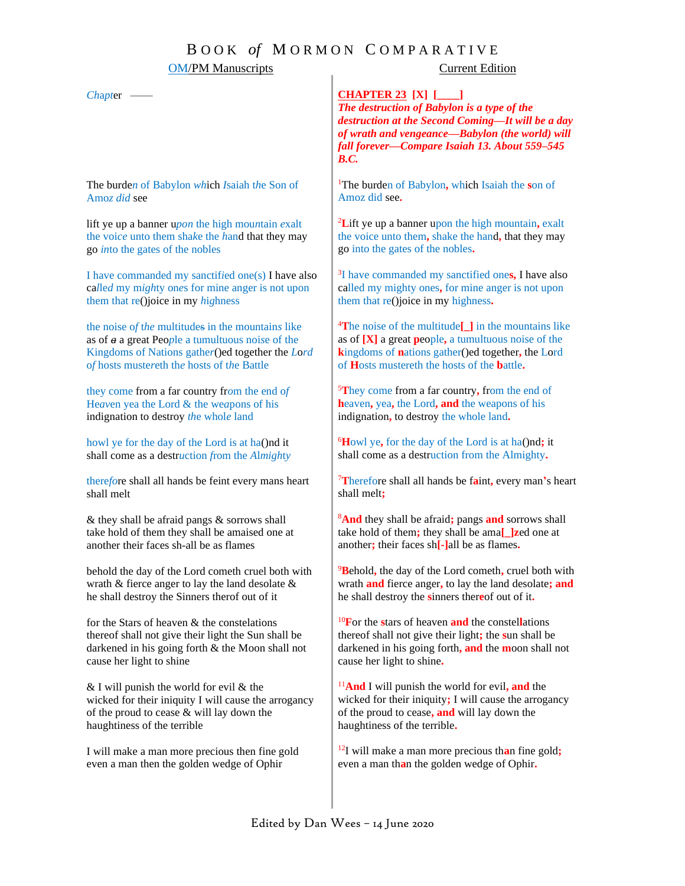# B O O K *of* M O R M O N C O M P A R A T I V E

| <b>OM/PM</b> Manuscripts                              | <b>Current Edition</b>                                                                                                                                                                                                                       |
|-------------------------------------------------------|----------------------------------------------------------------------------------------------------------------------------------------------------------------------------------------------------------------------------------------------|
| Chapter -                                             | <b>CHAPTER 23 [X] [____]</b><br>The destruction of Babylon is a type of the<br>destruction at the Second Coming-It will be a day<br>of wrath and vengeance-Babylon (the world) will<br>fall forever-Compare Isaiah 13. About 559-545<br>B.C. |
| The burden of Babylon which Isaiah the Son of         | <sup>1</sup> The burden of Babylon, which Isaiah the son of                                                                                                                                                                                  |
| Amoz did see                                          | Amoz did see.                                                                                                                                                                                                                                |
| lift ye up a banner upon the high mountain exalt      | <sup>2</sup> Lift ye up a banner upon the high mountain, exalt                                                                                                                                                                               |
| the voice unto them shake the hand that they may      | the voice unto them, shake the hand, that they may                                                                                                                                                                                           |
| go into the gates of the nobles                       | go into the gates of the nobles.                                                                                                                                                                                                             |
| I have commanded my sanctified one(s) I have also     | <sup>3</sup> I have commanded my sanctified ones, I have also                                                                                                                                                                                |
| called my mighty ones for mine anger is not upon      | called my mighty ones, for mine anger is not upon                                                                                                                                                                                            |
| them that re()joice in my highness                    | them that re()joice in my highness.                                                                                                                                                                                                          |
| the noise of the multitudes in the mountains like     | $\rm{^{4}The}$ noise of the multitude $\left[\frac{1}{2}\right]$ in the mountains like                                                                                                                                                       |
| as of $a$ a great People a tumultuous noise of the    | as of $[X]$ a great people, a tumultuous noise of the                                                                                                                                                                                        |
| Kingdoms of Nations gather ()ed together the Lord     | kingdoms of nations gather()ed together, the Lord                                                                                                                                                                                            |
| of hosts mustereth the hosts of the Battle            | of Hosts mustereth the hosts of the <b>b</b> attle.                                                                                                                                                                                          |
| they come from a far country from the end of          | <sup>5</sup> They come from a far country, from the end of                                                                                                                                                                                   |
| Heaven yea the Lord & the weapons of his              | heaven, yea, the Lord, and the weapons of his                                                                                                                                                                                                |
| indignation to destroy the whole land                 | indignation, to destroy the whole land.                                                                                                                                                                                                      |
| howl ye for the day of the Lord is at ha()nd it       | <sup>6</sup> Howl ye, for the day of the Lord is at ha()nd; it                                                                                                                                                                               |
| shall come as a destruction from the Almighty         | shall come as a destruction from the Almighty.                                                                                                                                                                                               |
| therefore shall all hands be feint every mans heart   | $T$ Therefore shall all hands be faint, every man's heart                                                                                                                                                                                    |
| shall melt                                            | shall melt;                                                                                                                                                                                                                                  |
| & they shall be afraid pangs & sorrows shall          | <sup>8</sup> And they shall be afraid; pangs and sorrows shall                                                                                                                                                                               |
| take hold of them they shall be amaised one at        | take hold of them; they shall be ama[]zed one at                                                                                                                                                                                             |
| another their faces sh-all be as flames               | another; their faces sh[-]all be as flames.                                                                                                                                                                                                  |
| behold the day of the Lord cometh cruel both with     | <sup>9</sup> Behold, the day of the Lord cometh, cruel both with                                                                                                                                                                             |
| wrath $\&$ fierce anger to lay the land desolate $\&$ | wrath and fierce anger, to lay the land desolate; and                                                                                                                                                                                        |
| he shall destroy the Sinners therof out of it         | he shall destroy the sinners thereof out of it.                                                                                                                                                                                              |
| for the Stars of heaven $\&$ the constelations        | $^{10}$ For the stars of heaven and the constellations                                                                                                                                                                                       |
| thereof shall not give their light the Sun shall be   | thereof shall not give their light; the sun shall be                                                                                                                                                                                         |
| darkened in his going forth & the Moon shall not      | darkened in his going forth, and the moon shall not                                                                                                                                                                                          |
| cause her light to shine                              | cause her light to shine.                                                                                                                                                                                                                    |
| & I will punish the world for evil & the              | $11$ And I will punish the world for evil, and the                                                                                                                                                                                           |
| wicked for their iniquity I will cause the arrogancy  | wicked for their iniquity; I will cause the arrogancy                                                                                                                                                                                        |
| of the proud to cease & will lay down the             | of the proud to cease, and will lay down the                                                                                                                                                                                                 |
| haughtiness of the terrible                           | haughtiness of the terrible.                                                                                                                                                                                                                 |
| I will make a man more precious then fine gold        | $^{12}$ I will make a man more precious than fine gold;                                                                                                                                                                                      |
| even a man then the golden wedge of Ophir             | even a man than the golden wedge of Ophir.                                                                                                                                                                                                   |